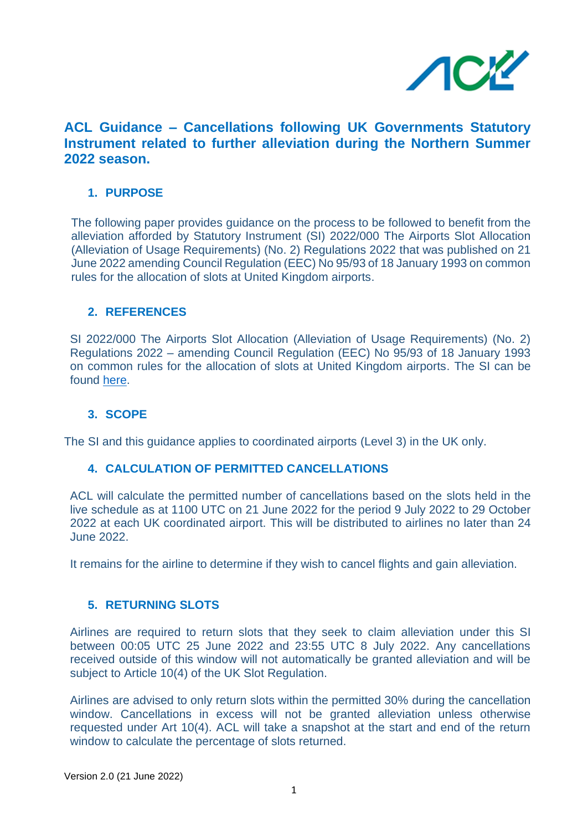

# **ACL Guidance – Cancellations following UK Governments Statutory Instrument related to further alleviation during the Northern Summer 2022 season.**

# **1. PURPOSE**

The following paper provides guidance on the process to be followed to benefit from the alleviation afforded by Statutory Instrument (SI) 2022/000 The Airports Slot Allocation (Alleviation of Usage Requirements) (No. 2) Regulations 2022 that was published on 21 June 2022 amending Council Regulation (EEC) No 95/93 of 18 January 1993 on common rules for the allocation of slots at United Kingdom airports.

## **2. REFERENCES**

SI 2022/000 The Airports Slot Allocation (Alleviation of Usage Requirements) (No. 2) Regulations 2022 – amending Council Regulation (EEC) No 95/93 of 18 January 1993 on common rules for the allocation of slots at United Kingdom airports. The SI can be found [here.](https://www.legislation.gov.uk/ukdsi/2022/9780348236590/contents)

## **3. SCOPE**

The SI and this guidance applies to coordinated airports (Level 3) in the UK only.

## **4. CALCULATION OF PERMITTED CANCELLATIONS**

ACL will calculate the permitted number of cancellations based on the slots held in the live schedule as at 1100 UTC on 21 June 2022 for the period 9 July 2022 to 29 October 2022 at each UK coordinated airport. This will be distributed to airlines no later than 24 June 2022.

It remains for the airline to determine if they wish to cancel flights and gain alleviation.

## **5. RETURNING SLOTS**

Airlines are required to return slots that they seek to claim alleviation under this SI between 00:05 UTC 25 June 2022 and 23:55 UTC 8 July 2022. Any cancellations received outside of this window will not automatically be granted alleviation and will be subject to Article 10(4) of the UK Slot Regulation.

Airlines are advised to only return slots within the permitted 30% during the cancellation window. Cancellations in excess will not be granted alleviation unless otherwise requested under Art 10(4). ACL will take a snapshot at the start and end of the return window to calculate the percentage of slots returned.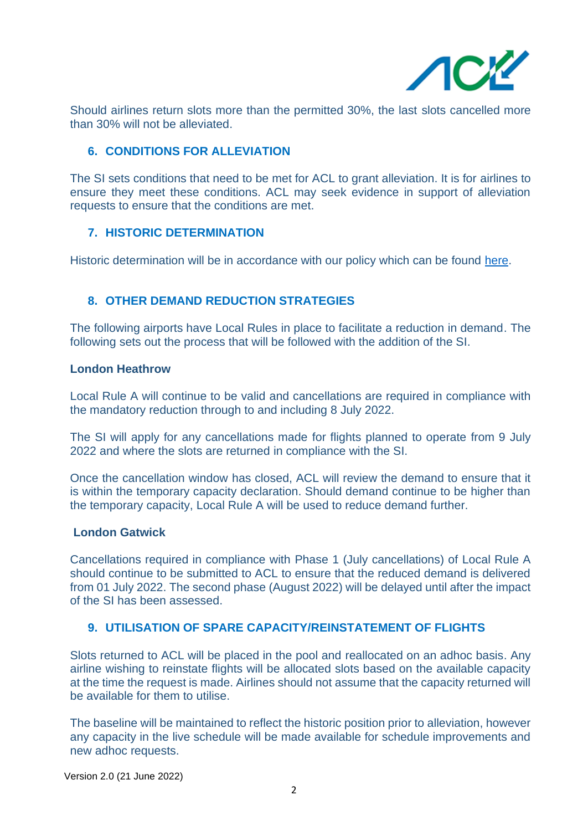

Should airlines return slots more than the permitted 30%, the last slots cancelled more than 30% will not be alleviated.

# **6. CONDITIONS FOR ALLEVIATION**

The SI sets conditions that need to be met for ACL to grant alleviation. It is for airlines to ensure they meet these conditions. ACL may seek evidence in support of alleviation requests to ensure that the conditions are met.

## **7. HISTORIC DETERMINATION**

Historic determination will be in accordance with our policy which can be found [here.](https://www.acl-uk.org/wp-content/uploads/2021/04/Guidance-to-Historic-Determination-at-Level-3-Airports-Final-V3-26APRIL21.pdf)

# **8. OTHER DEMAND REDUCTION STRATEGIES**

The following airports have Local Rules in place to facilitate a reduction in demand. The following sets out the process that will be followed with the addition of the SI.

#### **London Heathrow**

Local Rule A will continue to be valid and cancellations are required in compliance with the mandatory reduction through to and including 8 July 2022.

The SI will apply for any cancellations made for flights planned to operate from 9 July 2022 and where the slots are returned in compliance with the SI.

Once the cancellation window has closed, ACL will review the demand to ensure that it is within the temporary capacity declaration. Should demand continue to be higher than the temporary capacity, Local Rule A will be used to reduce demand further.

#### **London Gatwick**

Cancellations required in compliance with Phase 1 (July cancellations) of Local Rule A should continue to be submitted to ACL to ensure that the reduced demand is delivered from 01 July 2022. The second phase (August 2022) will be delayed until after the impact of the SI has been assessed.

## **9. UTILISATION OF SPARE CAPACITY/REINSTATEMENT OF FLIGHTS**

Slots returned to ACL will be placed in the pool and reallocated on an adhoc basis. Any airline wishing to reinstate flights will be allocated slots based on the available capacity at the time the request is made. Airlines should not assume that the capacity returned will be available for them to utilise.

The baseline will be maintained to reflect the historic position prior to alleviation, however any capacity in the live schedule will be made available for schedule improvements and new adhoc requests.

Version 2.0 (21 June 2022)